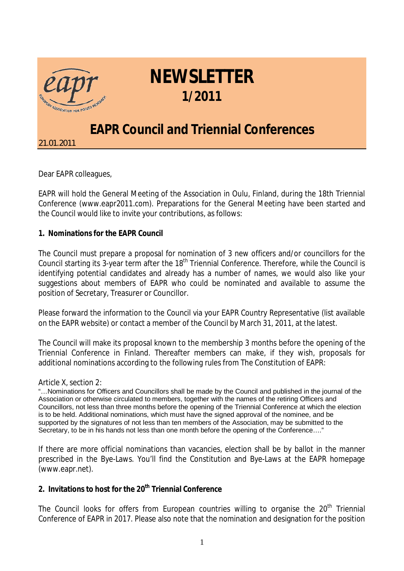

## **NEWSLETTER 1/2011**

## **EAPR Council and Triennial Conferences**

*21.01.2011*

Dear EAPR colleagues,

EAPR will hold the General Meeting of the Association in Oulu, Finland, during the 18th Triennial Conference [\(www.eapr2011.com\)](http://www.eapr2011.com). Preparations for the General Meeting have been started and the Council would like to invite your contributions, as follows:

**1. Nominations for the EAPR Council**

The Council must prepare a proposal for nomination of 3 new officers and/or councillors for the Council starting its 3-year term after the 18<sup>th</sup> Triennial Conference. Therefore, while the Council is identifying potential candidates and already has a number of names, we would also like your suggestions about members of EAPR who could be nominated and available to assume the position of Secretary, Treasurer or Councillor.

Please forward the information to the Council via your EAPR Country Representative (list available on the EAPR website) or contact a member of the Council by March 31, 2011, at the latest.

The Council will make its proposal known to the membership 3 months before the opening of the Triennial Conference in Finland. Thereafter members can make, if they wish, proposals for additional nominations according to the following rules from The Constitution of EAPR:

Article X, section 2:

"… Nominations for Officers and Councillors shall be made by the Council and published in the journal of the Association or otherwise circulated to members, together with the names of the retiring Officers and Councillors, not less than three months before the opening of the Triennial Conference at which the election is to be held. Additional nominations, which must have the signed approval of the nominee, and be supported by the signatures of not less than ten members of the Association, may be submitted to the Secretary, to be in his hands not less than one month before the opening of the Conference...."

If there are more official nominations than vacancies, election shall be by ballot in the manner prescribed in the Bye-Laws. You'll find the Constitution and Bye-Laws at the EAPR homepage [\(www.eapr.net\)](http://www.eapr.net).

**2. Invitations to host for the 20th Triennial Conference**

The Council looks for offers from European countries willing to organise the  $20<sup>th</sup>$  Triennial Conference of EAPR in 2017. Please also note that the nomination and designation for the position